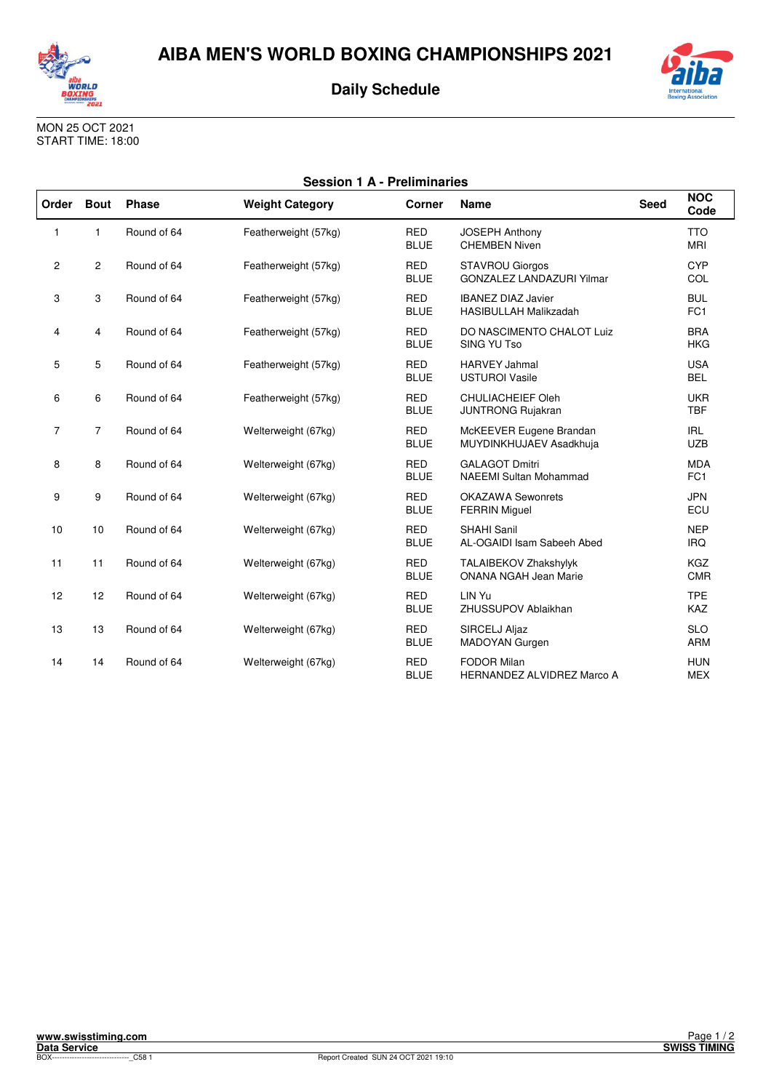

**Daily Schedule**



| International<br><b>Boxing Association</b> |
|--------------------------------------------|

|                | <b>Session 1 A - Preliminaries</b> |              |                        |                           |                                                            |             |                               |  |
|----------------|------------------------------------|--------------|------------------------|---------------------------|------------------------------------------------------------|-------------|-------------------------------|--|
| Order          | <b>Bout</b>                        | <b>Phase</b> | <b>Weight Category</b> | <b>Corner</b>             | <b>Name</b>                                                | <b>Seed</b> | <b>NOC</b><br>Code            |  |
| $\mathbf{1}$   | 1                                  | Round of 64  | Featherweight (57kg)   | <b>RED</b><br><b>BLUE</b> | <b>JOSEPH Anthony</b><br><b>CHEMBEN Niven</b>              |             | <b>TTO</b><br><b>MRI</b>      |  |
| $\overline{2}$ | $\overline{2}$                     | Round of 64  | Featherweight (57kg)   | <b>RED</b><br><b>BLUE</b> | <b>STAVROU Giorgos</b><br><b>GONZALEZ LANDAZURI Yilmar</b> |             | CYP<br>COL                    |  |
| 3              | 3                                  | Round of 64  | Featherweight (57kg)   | <b>RED</b><br><b>BLUE</b> | <b>IBANEZ DIAZ Javier</b><br><b>HASIBULLAH Malikzadah</b>  |             | <b>BUL</b><br>FC1             |  |
| 4              | $\overline{4}$                     | Round of 64  | Featherweight (57kg)   | <b>RED</b><br><b>BLUE</b> | DO NASCIMENTO CHALOT Luiz<br>SING YU Tso                   |             | <b>BRA</b><br><b>HKG</b>      |  |
| 5              | 5                                  | Round of 64  | Featherweight (57kg)   | <b>RED</b><br><b>BLUE</b> | <b>HARVEY Jahmal</b><br><b>USTUROI Vasile</b>              |             | <b>USA</b><br><b>BEL</b>      |  |
| 6              | 6                                  | Round of 64  | Featherweight (57kg)   | <b>RED</b><br><b>BLUE</b> | <b>CHULIACHEIEF Oleh</b><br><b>JUNTRONG Rujakran</b>       |             | <b>UKR</b><br><b>TBF</b>      |  |
| $\overline{7}$ | $\overline{7}$                     | Round of 64  | Welterweight (67kg)    | <b>RED</b><br><b>BLUE</b> | McKEEVER Eugene Brandan<br>MUYDINKHUJAEV Asadkhuja         |             | <b>IRL</b><br><b>UZB</b>      |  |
| 8              | 8                                  | Round of 64  | Welterweight (67kg)    | <b>RED</b><br><b>BLUE</b> | <b>GALAGOT Dmitri</b><br><b>NAEEMI Sultan Mohammad</b>     |             | <b>MDA</b><br>FC <sub>1</sub> |  |
| 9              | 9                                  | Round of 64  | Welterweight (67kg)    | <b>RED</b><br><b>BLUE</b> | <b>OKAZAWA Sewonrets</b><br><b>FERRIN Miguel</b>           |             | <b>JPN</b><br>ECU             |  |
| 10             | 10                                 | Round of 64  | Welterweight (67kg)    | <b>RED</b><br><b>BLUE</b> | SHAHI Sanil<br>AL-OGAIDI Isam Sabeeh Abed                  |             | <b>NEP</b><br><b>IRQ</b>      |  |
| 11             | 11                                 | Round of 64  | Welterweight (67kg)    | <b>RED</b><br><b>BLUE</b> | TALAIBEKOV Zhakshylyk<br><b>ONANA NGAH Jean Marie</b>      |             | <b>KGZ</b><br><b>CMR</b>      |  |
| 12             | 12                                 | Round of 64  | Welterweight (67kg)    | <b>RED</b><br><b>BLUE</b> | LIN Yu<br>ZHUSSUPOV Ablaikhan                              |             | <b>TPE</b><br>KAZ             |  |
| 13             | 13                                 | Round of 64  | Welterweight (67kg)    | <b>RED</b><br><b>BLUE</b> | SIRCELJ Aljaz<br>MADOYAN Gurgen                            |             | <b>SLO</b><br><b>ARM</b>      |  |
| 14             | 14                                 | Round of 64  | Welterweight (67kg)    | <b>RED</b><br><b>BLUE</b> | <b>FODOR Milan</b><br>HERNANDEZ ALVIDREZ Marco A           |             | <b>HUN</b><br><b>MEX</b>      |  |